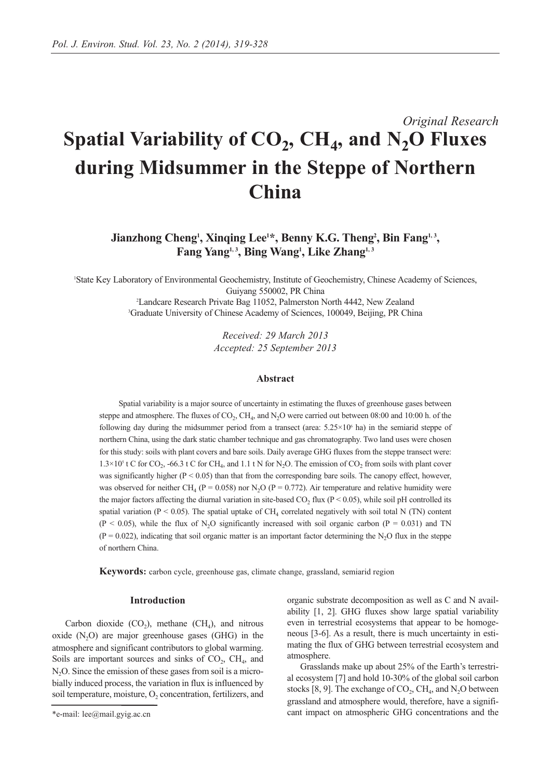# *Original Research* Spatial Variability of CO<sub>2</sub>, CH<sub>4</sub>, and N<sub>2</sub>O Fluxes **during Midsummer in the Steppe of Northern China**

**Jianzhong Cheng<sup>1</sup>, Xinqing Lee<sup>1\*</sup>, Benny K.G. Theng<sup>2</sup>, Bin Fang<sup>1,3</sup>,** Fang Yang<sup>1,3</sup>, Bing Wang<sup>1</sup>, Like Zhang<sup>1,3</sup>

1 State Key Laboratory of Environmental Geochemistry, Institute of Geochemistry, Chinese Academy of Sciences, Guiyang 550002, PR China

> 2 Landcare Research Private Bag 11052, Palmerston North 4442, New Zealand 3 Graduate University of Chinese Academy of Sciences, 100049, Beijing, PR China

> > *Received: 29 March 2013 Accepted: 25 September 2013*

# **Abstract**

Spatial variability is a major source of uncertainty in estimating the fluxes of greenhouse gases between steppe and atmosphere. The fluxes of  $CO<sub>2</sub>$ , CH<sub>4</sub>, and N<sub>2</sub>O were carried out between 08:00 and 10:00 h. of the following day during the midsummer period from a transect (area:  $5.25 \times 10^6$  ha) in the semiarid steppe of northern China, using the dark static chamber technique and gas chromatography. Two land uses were chosen for this study: soils with plant covers and bare soils. Daily average GHG fluxes from the steppe transect were:  $1.3\times10^{5}$  t C for CO<sub>2</sub>, -66.3 t C for CH<sub>4</sub>, and 1.1 t N for N<sub>2</sub>O. The emission of CO<sub>2</sub> from soils with plant cover was significantly higher ( $P < 0.05$ ) than that from the corresponding bare soils. The canopy effect, however, was observed for neither CH<sub>4</sub> (P = 0.058) nor N<sub>2</sub>O (P = 0.772). Air temperature and relative humidity were the major factors affecting the diurnal variation in site-based  $CO<sub>2</sub>$  flux (P < 0.05), while soil pH controlled its spatial variation (P < 0.05). The spatial uptake of CH<sub>4</sub> correlated negatively with soil total N (TN) content  $(P < 0.05)$ , while the flux of N<sub>2</sub>O significantly increased with soil organic carbon  $(P = 0.031)$  and TN  $(P = 0.022)$ , indicating that soil organic matter is an important factor determining the N<sub>2</sub>O flux in the steppe of northern China.

**Keywords:** carbon cycle, greenhouse gas, climate change, grassland, semiarid region

## **Introduction**

Carbon dioxide  $(CO<sub>2</sub>)$ , methane  $(CH<sub>4</sub>)$ , and nitrous oxide  $(N<sub>2</sub>O)$  are major greenhouse gases  $(GHG)$  in the atmosphere and significant contributors to global warming. Soils are important sources and sinks of  $CO<sub>2</sub>$ ,  $CH<sub>4</sub>$ , and  $N<sub>2</sub>O$ . Since the emission of these gases from soil is a microbially induced process, the variation in flux is influenced by soil temperature, moisture,  $O<sub>2</sub>$  concentration, fertilizers, and organic substrate decomposition as well as C and N availability [1, 2]. GHG fluxes show large spatial variability even in terrestrial ecosystems that appear to be homogeneous [3-6]. As a result, there is much uncertainty in estimating the flux of GHG between terrestrial ecosystem and atmosphere.

Grasslands make up about 25% of the Earth's terrestrial ecosystem [7] and hold 10-30% of the global soil carbon stocks [8, 9]. The exchange of  $CO_2$ , CH<sub>4</sub>, and N<sub>2</sub>O between grassland and atmosphere would, therefore, have a significant impact on atmospheric GHG concentrations and the

<sup>\*</sup>e-mail: lee@mail.gyig.ac.cn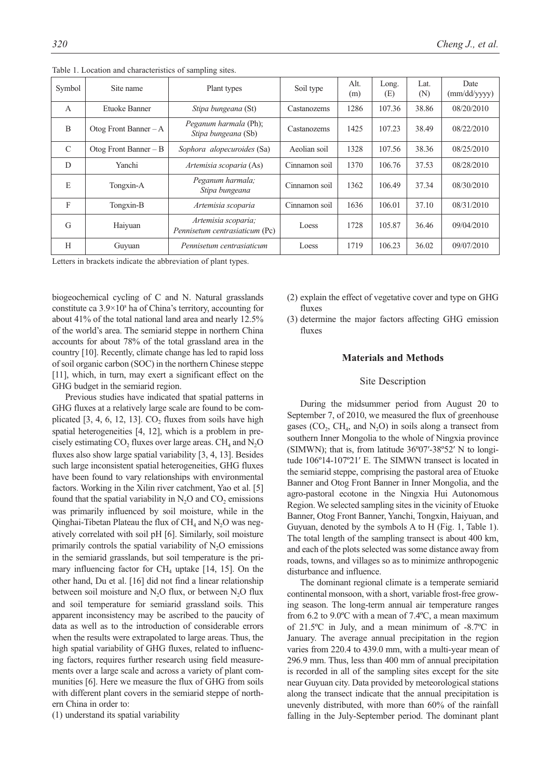| Symbol         | Site name               | Plant types                                           | Soil type     | Alt.<br>(m) | Long.<br>(E) | Lat.<br>(N) | Date<br>(mm/dd/yyyy) |
|----------------|-------------------------|-------------------------------------------------------|---------------|-------------|--------------|-------------|----------------------|
| $\overline{A}$ | Etuoke Banner           | Stipa bungeana (St)                                   | Castanozems   | 1286        | 107.36       | 38.86       | 08/20/2010           |
| B              | Otog Front Banner $-A$  | Peganum harmala (Ph);<br>Stipa bungeana (Sb)          | Castanozems   | 1425        | 107.23       | 38.49       | 08/22/2010           |
| $\mathcal{C}$  | Otog Front Banner $- B$ | Sophora alopecuroides (Sa)                            | Aeolian soil  | 1328        | 107.56       | 38.36       | 08/25/2010           |
| D              | Yanchi                  | Artemisia scoparia (As)                               | Cinnamon soil | 1370        | 106.76       | 37.53       | 08/28/2010           |
| E              | Tongxin-A               | Peganum harmala;<br>Stipa bungeana                    | Cinnamon soil | 1362        | 106.49       | 37.34       | 08/30/2010           |
| F              | Tongxin-B               | Artemisia scoparia                                    | Cinnamon soil | 1636        | 106.01       | 37.10       | 08/31/2010           |
| G              | Haiyuan                 | Artemisia scoparia;<br>Pennisetum centrasiaticum (Pc) | Loess         | 1728        | 105.87       | 36.46       | 09/04/2010           |
| H              | Guyuan                  | Pennisetum centrasiaticum                             | Loess         | 1719        | 106.23       | 36.02       | 09/07/2010           |

Table 1. Location and characteristics of sampling sites.

Letters in brackets indicate the abbreviation of plant types.

biogeochemical cycling of C and N. Natural grasslands constitute ca  $3.9 \times 10^8$  ha of China's territory, accounting for about 41% of the total national land area and nearly 12.5% of the world's area. The semiarid steppe in northern China accounts for about 78% of the total grassland area in the country [10]. Recently, climate change has led to rapid loss of soil organic carbon (SOC) in the northern Chinese steppe [11], which, in turn, may exert a significant effect on the GHG budget in the semiarid region.

Previous studies have indicated that spatial patterns in GHG fluxes at a relatively large scale are found to be complicated [3, 4, 6, 12, 13].  $CO<sub>2</sub>$  fluxes from soils have high spatial heterogeneities [4, 12], which is a problem in precisely estimating  $CO<sub>2</sub>$  fluxes over large areas.  $CH<sub>4</sub>$  and  $N<sub>2</sub>O$ fluxes also show large spatial variability [3, 4, 13]. Besides such large inconsistent spatial heterogeneities, GHG fluxes have been found to vary relationships with environmental factors. Working in the Xilin river catchment, Yao et al. [5] found that the spatial variability in  $N_2O$  and  $CO_2$  emissions was primarily influenced by soil moisture, while in the Qinghai-Tibetan Plateau the flux of  $CH<sub>4</sub>$  and  $N<sub>2</sub>O$  was negatively correlated with soil pH [6]. Similarly, soil moisture primarily controls the spatial variability of  $N_2O$  emissions in the semiarid grasslands, but soil temperature is the primary influencing factor for  $CH_4$  uptake [14, 15]. On the other hand, Du et al. [16] did not find a linear relationship between soil moisture and  $N_2O$  flux, or between  $N_2O$  flux and soil temperature for semiarid grassland soils. This apparent inconsistency may be ascribed to the paucity of data as well as to the introduction of considerable errors when the results were extrapolated to large areas. Thus, the high spatial variability of GHG fluxes, related to influencing factors, requires further research using field measurements over a large scale and across a variety of plant communities [6]. Here we measure the flux of GHG from soils with different plant covers in the semiarid steppe of northern China in order to:

(1) understand its spatial variability

- (2) explain the effect of vegetative cover and type on GHG fluxes
- (3) determine the major factors affecting GHG emission fluxes

## **Materials and Methods**

## Site Description

During the midsummer period from August 20 to September 7, of 2010, we measured the flux of greenhouse gases ( $CO<sub>2</sub>$ ,  $CH<sub>4</sub>$ , and  $N<sub>2</sub>O$ ) in soils along a transect from southern Inner Mongolia to the whole of Ningxia province (SIMWN); that is, from latitude 36º07′-38º52′ N to longitude 106º14-107º21′ E. The SIMWN transect is located in the semiarid steppe, comprising the pastoral area of Etuoke Banner and Otog Front Banner in Inner Mongolia, and the agro-pastoral ecotone in the Ningxia Hui Autonomous Region. We selected sampling sites in the vicinity of Etuoke Banner, Otog Front Banner, Yanchi, Tongxin, Haiyuan, and Guyuan, denoted by the symbols A to H (Fig. 1, Table 1). The total length of the sampling transect is about 400 km, and each of the plots selected was some distance away from roads, towns, and villages so as to minimize anthropogenic disturbance and influence.

The dominant regional climate is a temperate semiarid continental monsoon, with a short, variable frost-free growing season. The long-term annual air temperature ranges from 6.2 to 9.0ºC with a mean of 7.4ºC, a mean maximum of 21.5ºC in July, and a mean minimum of -8.7ºC in January. The average annual precipitation in the region varies from 220.4 to 439.0 mm, with a multi-year mean of 296.9 mm. Thus, less than 400 mm of annual precipitation is recorded in all of the sampling sites except for the site near Guyuan city. Data provided by meteorological stations along the transect indicate that the annual precipitation is unevenly distributed, with more than 60% of the rainfall falling in the July-September period. The dominant plant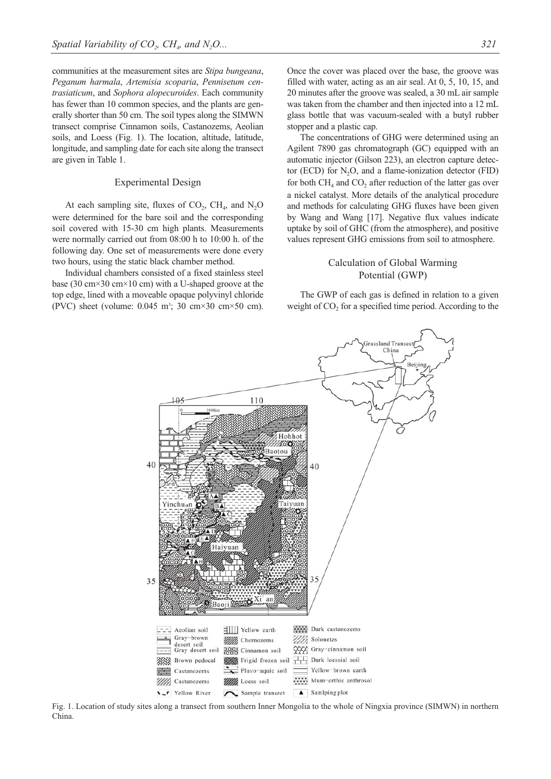communities at the measurement sites are *Stipa bungeana*, *Peganum harmala*, *Artemisia scoparia*, *Pennisetum centrasiaticum*, and *Sophora alopecuroides*. Each community has fewer than 10 common species, and the plants are generally shorter than 50 cm. The soil types along the SIMWN transect comprise Cinnamon soils, Castanozems, Aeolian soils, and Loess (Fig. 1). The location, altitude, latitude, longitude, and sampling date for each site along the transect are given in Table 1.

## Experimental Design

At each sampling site, fluxes of  $CO_2$ ,  $CH_4$ , and  $N_2O$ were determined for the bare soil and the corresponding soil covered with 15-30 cm high plants. Measurements were normally carried out from 08:00 h to 10:00 h. of the following day. One set of measurements were done every two hours, using the static black chamber method.

Individual chambers consisted of a fixed stainless steel base (30 cm×30 cm×10 cm) with a U-shaped groove at the top edge, lined with a moveable opaque polyvinyl chloride (PVC) sheet (volume:  $0.045 \text{ m}^3$ ; 30 cm×30 cm×50 cm).

Once the cover was placed over the base, the groove was filled with water, acting as an air seal. At 0, 5, 10, 15, and 20 minutes after the groove was sealed, a 30 mL air sample was taken from the chamber and then injected into a 12 mL glass bottle that was vacuum-sealed with a butyl rubber stopper and a plastic cap.

The concentrations of GHG were determined using an Agilent 7890 gas chromatograph (GC) equipped with an automatic injector (Gilson 223), an electron capture detector (ECD) for  $N_2O$ , and a flame-ionization detector (FID) for both  $CH<sub>4</sub>$  and  $CO<sub>2</sub>$  after reduction of the latter gas over a nickel catalyst. More details of the analytical procedure and methods for calculating GHG fluxes have been given by Wang and Wang [17]. Negative flux values indicate uptake by soil of GHC (from the atmosphere), and positive values represent GHG emissions from soil to atmosphere.

# Calculation of Global Warming Potential (GWP)

The GWP of each gas is defined in relation to a given weight of  $CO<sub>2</sub>$  for a specified time period. According to the



Fig. 1. Location of study sites along a transect from southern Inner Mongolia to the whole of Ningxia province (SIMWN) in northern China.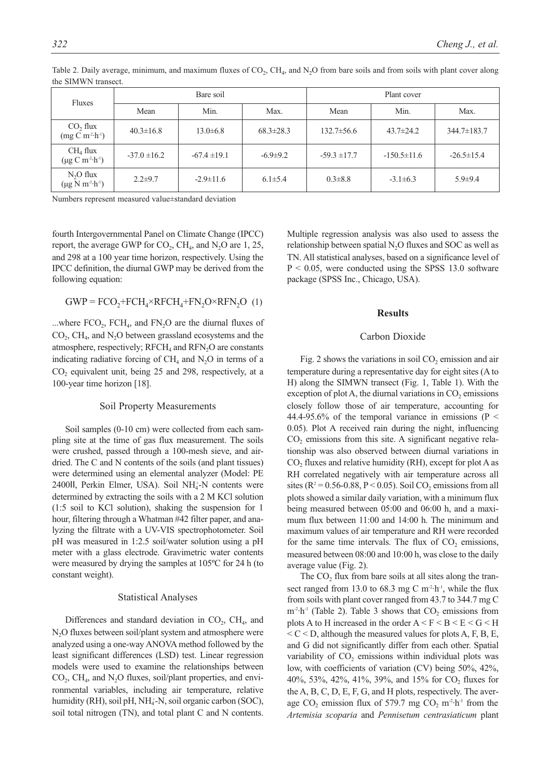| Fluxes                                               |                  | Bare soil        |                 |                  |                   |                  |
|------------------------------------------------------|------------------|------------------|-----------------|------------------|-------------------|------------------|
|                                                      | Mean             | Min.             | Max.            | Mean             | Min.              | Max.             |
| CO <sub>2</sub> flux<br>$(mg C m^2 \cdot h^{-1})$    | $40.3 \pm 16.8$  | $13.0 \pm 6.8$   | $68.3 \pm 28.3$ | $132.7 \pm 56.6$ | $43.7 \pm 24.2$   | 344.7±183.7      |
| CH <sub>4</sub> flux<br>$(\mu g C m^2 \cdot h^{-1})$ | $-37.0 \pm 16.2$ | $-67.4 \pm 19.1$ | $-6.9 \pm 9.2$  | $-59.3 \pm 17.7$ | $-150.5 \pm 11.6$ | $-26.5 \pm 15.4$ |
| $N_2O$ flux<br>$(\mu g N m^{2} \cdot h^{1})$         | $2.2 \pm 9.7$    | $-2.9 \pm 11.6$  | $6.1 \pm 5.4$   | $0.3 \pm 8.8$    | $-3.1 \pm 6.3$    | $5.9 + 9.4$      |

Table 2. Daily average, minimum, and maximum fluxes of  $CO<sub>2</sub>$ , CH<sub>4</sub>, and N<sub>2</sub>O from bare soils and from soils with plant cover along the SIMWN transect.

Numbers represent measured value±standard deviation

fourth Intergovernmental Panel on Climate Change (IPCC) report, the average GWP for  $CO_2$ ,  $CH_4$ , and  $N_2O$  are 1, 25, and 298 at a 100 year time horizon, respectively. Using the IPCC definition, the diurnal GWP may be derived from the following equation:

$$
GWP = FCO_2 + FCH_4 \times RFCH_4 + FN_2O \times RFN_2O
$$
 (1)

...where  $FCO<sub>2</sub>$ ,  $FCH<sub>4</sub>$ , and  $FN<sub>2</sub>O$  are the diurnal fluxes of  $CO<sub>2</sub>$ , CH<sub>4</sub>, and N<sub>2</sub>O between grassland ecosystems and the atmosphere, respectively;  $RFCH<sub>4</sub>$  and  $RFN<sub>2</sub>O$  are constants indicating radiative forcing of  $CH_4$  and  $N_2O$  in terms of a CO<sub>2</sub> equivalent unit, being 25 and 298, respectively, at a 100-year time horizon [18].

## Soil Property Measurements

Soil samples (0-10 cm) were collected from each sampling site at the time of gas flux measurement. The soils were crushed, passed through a 100-mesh sieve, and airdried. The C and N contents of the soils (and plant tissues) were determined using an elemental analyzer (Model: PE 2400II, Perkin Elmer, USA). Soil NH<sub>4</sub>-N contents were determined by extracting the soils with a 2 M KCl solution (1:5 soil to KCl solution), shaking the suspension for 1 hour, filtering through a Whatman #42 filter paper, and analyzing the filtrate with a UV-VIS spectrophotometer. Soil pH was measured in 1:2.5 soil/water solution using a pH meter with a glass electrode. Gravimetric water contents were measured by drying the samples at 105ºC for 24 h (to constant weight).

#### Statistical Analyses

Differences and standard deviation in  $CO<sub>2</sub>$ ,  $CH<sub>4</sub>$ , and N<sub>2</sub>O fluxes between soil/plant system and atmosphere were analyzed using a one-way ANOVA method followed by the least significant differences (LSD) test. Linear regression models were used to examine the relationships between  $CO<sub>2</sub>$ , CH<sub>4</sub>, and N<sub>2</sub>O fluxes, soil/plant properties, and environmental variables, including air temperature, relative humidity (RH), soil pH, NH<sub>4</sub>-N, soil organic carbon (SOC), soil total nitrogen (TN), and total plant C and N contents. Multiple regression analysis was also used to assess the relationship between spatial  $N<sub>2</sub>O$  fluxes and SOC as well as TN. All statistical analyses, based on a significance level of  $P < 0.05$ , were conducted using the SPSS 13.0 software package (SPSS Inc., Chicago, USA).

## **Results**

#### Carbon Dioxide

Fig. 2 shows the variations in soil  $CO<sub>2</sub>$  emission and air temperature during a representative day for eight sites (A to H) along the SIMWN transect (Fig. 1, Table 1). With the exception of plot A, the diurnal variations in  $CO<sub>2</sub>$  emissions closely follow those of air temperature, accounting for 44.4-95.6% of the temporal variance in emissions ( $P \le$ 0.05). Plot A received rain during the night, influencing  $CO<sub>2</sub>$  emissions from this site. A significant negative relationship was also observed between diurnal variations in  $CO<sub>2</sub>$  fluxes and relative humidity (RH), except for plot A as RH correlated negatively with air temperature across all sites ( $R^2 = 0.56$ -0.88,  $P < 0.05$ ). Soil CO<sub>2</sub> emissions from all plots showed a similar daily variation, with a minimum flux being measured between 05:00 and 06:00 h, and a maximum flux between 11:00 and 14:00 h. The minimum and maximum values of air temperature and RH were recorded for the same time intervals. The flux of  $CO<sub>2</sub>$  emissions, measured between 08:00 and 10:00 h, was close to the daily average value (Fig. 2).

The CO<sub>2</sub> flux from bare soils at all sites along the transect ranged from 13.0 to 68.3 mg C  $m^2$ -h<sup>-1</sup>, while the flux from soils with plant cover ranged from 43.7 to 344.7 mg C  $m<sup>2</sup>·h<sup>-1</sup>$  (Table 2). Table 3 shows that  $CO<sub>2</sub>$  emissions from plots A to H increased in the order  $A \le F \le B \le E \le G \le H$  $\leq C \leq D$ , although the measured values for plots A, F, B, E, and G did not significantly differ from each other. Spatial variability of CO<sub>2</sub> emissions within individual plots was low, with coefficients of variation (CV) being 50%, 42%, 40%, 53%, 42%, 41%, 39%, and 15% for  $CO_2$  fluxes for the A, B, C, D, E, F, G, and H plots, respectively. The average  $CO_2$  emission flux of 579.7 mg  $CO_2$  m<sup>-2</sup>·h<sup>-1</sup> from the *Artemisia scoparia* and *Pennisetum centrasiaticum* plant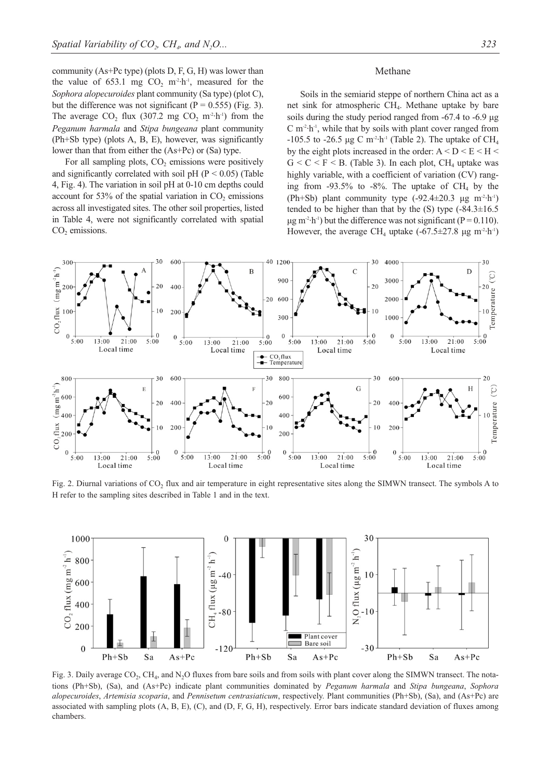community (As+Pc type) (plots D, F, G, H) was lower than the value of  $653.1$  mg CO<sub>2</sub> m<sup>2</sup>·h<sup>-1</sup>, measured for the *Sophora alopecuroides* plant community (Sa type) (plot C), but the difference was not significant ( $P = 0.555$ ) (Fig. 3). The average  $CO_2$  flux (307.2 mg  $CO_2$  m<sup>-2</sup>·h<sup>-1</sup>) from the *Peganum harmala* and *Stipa bungeana* plant community (Ph+Sb type) (plots A, B, E), however, was significantly lower than that from either the (As+Pc) or (Sa) type.

For all sampling plots,  $CO<sub>2</sub>$  emissions were positively and significantly correlated with soil pH ( $P < 0.05$ ) (Table 4, Fig. 4). The variation in soil pH at 0-10 cm depths could account for 53% of the spatial variation in  $CO<sub>2</sub>$  emissions across all investigated sites. The other soil properties, listed in Table 4, were not significantly correlated with spatial CO<sub>2</sub> emissions.

## Methane

Soils in the semiarid steppe of northern China act as a net sink for atmospheric CH<sub>4</sub>. Methane uptake by bare soils during the study period ranged from -67.4 to -6.9 μg  $C$  m<sup>-2</sup> $\cdot$ h<sup>-1</sup>, while that by soils with plant cover ranged from  $-105.5$  to  $-26.5$  μg C m<sup>-2</sup>·h<sup>-1</sup> (Table 2). The uptake of CH<sub>4</sub> by the eight plots increased in the order:  $A < D < E < H <$  $G \leq C \leq F \leq B$ . (Table 3). In each plot, CH<sub>4</sub> uptake was highly variable, with a coefficient of variation (CV) ranging from -93.5% to -8%. The uptake of  $CH_4$  by the (Ph+Sb) plant community type  $(-92.4 \pm 20.3 \text{ kg m}^2 \cdot h^{-1})$ tended to be higher than that by the  $(S)$  type  $(-84.3 \pm 16.5$  $\mu$ g m<sup>-2</sup>·h<sup>-1</sup>) but the difference was not significant (P = 0.110). However, the average CH<sub>4</sub> uptake  $(-67.5 \pm 27.8 \text{ µg m}^{-2} \cdot h^{-1})$ 



Fig. 2. Diurnal variations of  $CO<sub>2</sub>$  flux and air temperature in eight representative sites along the SIMWN transect. The symbols A to H refer to the sampling sites described in Table 1 and in the text.



Fig. 3. Daily average CO<sub>2</sub>, CH<sub>4</sub>, and N<sub>2</sub>O fluxes from bare soils and from soils with plant cover along the SIMWN transect. The notations (Ph+Sb), (Sa), and (As+Pc) indicate plant communities dominated by *Peganum harmala* and *Stipa bungeana*, *Sophora alopecuroides*, *Artemisia scoparia*, and *Pennisetum centrasiaticum*, respectively. Plant communities (Ph+Sb), (Sa), and (As+Pc) are associated with sampling plots (A, B, E), (C), and (D, F, G, H), respectively. Error bars indicate standard deviation of fluxes among chambers.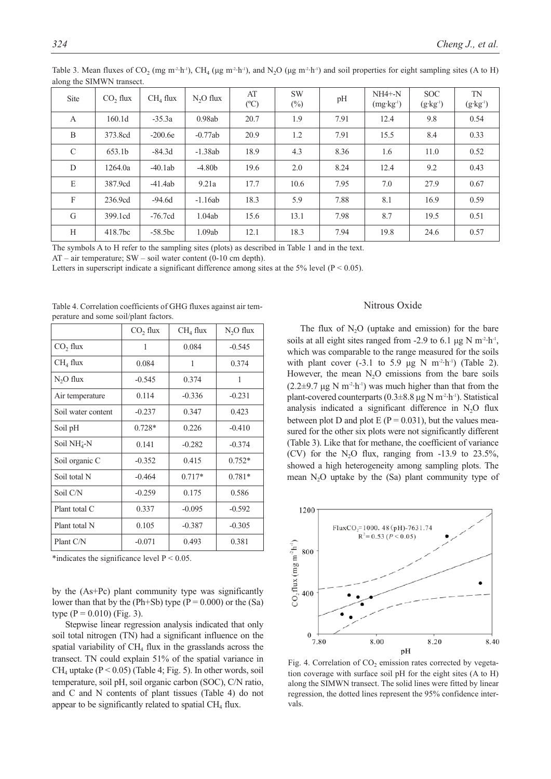| $\mu$ and $\mu$ and $\mu$ and $\mu$ and $\mu$ and $\mu$ |                      |                      |            |                     |                     |      |                                    |                                   |                           |
|---------------------------------------------------------|----------------------|----------------------|------------|---------------------|---------------------|------|------------------------------------|-----------------------------------|---------------------------|
| Site                                                    | CO <sub>2</sub> flux | CH <sub>4</sub> flux | $N2O$ flux | AT<br>$(^{\circ}C)$ | <b>SW</b><br>$(\%)$ | pH   | $NH4 + -N$<br>$(mg \cdot kg^{-1})$ | <b>SOC</b><br>$(g \cdot kg^{-1})$ | TN<br>$(g \cdot kg^{-1})$ |
| $\mathbf{A}$                                            | 160.1d               | $-35.3a$             | 0.98ab     | 20.7                | 1.9                 | 7.91 | 12.4                               | 9.8                               | 0.54                      |
| B                                                       | 373.8cd              | $-200.6e$            | $-0.77ab$  | 20.9                | 1.2                 | 7.91 | 15.5                               | 8.4                               | 0.33                      |
| $\mathcal{C}$                                           | 653.1b               | $-84.3d$             | $-1.38ab$  | 18.9                | 4.3                 | 8.36 | 1.6                                | 11.0                              | 0.52                      |
| D                                                       | 1264.0a              | $-40.1ab$            | $-4.80b$   | 19.6                | 2.0                 | 8.24 | 12.4                               | 9.2                               | 0.43                      |
| E                                                       | 387.9cd              | $-41.4ab$            | 9.21a      | 17.7                | 10.6                | 7.95 | 7.0                                | 27.9                              | 0.67                      |
| $\mathbf{F}$                                            | 236.9cd              | $-94.6d$             | $-1.16ab$  | 18.3                | 5.9                 | 7.88 | 8.1                                | 16.9                              | 0.59                      |
| G                                                       | 399.1cd              | $-76.7cd$            | 1.04ab     | 15.6                | 13.1                | 7.98 | 8.7                                | 19.5                              | 0.51                      |
| H                                                       | 418.7bc              | $-58.5bc$            | 1.09ab     | 12.1                | 18.3                | 7.94 | 19.8                               | 24.6                              | 0.57                      |

Table 3. Mean fluxes of  $CO_2$  (mg m<sup>-2</sup>·h<sup>-1</sup>), CH<sub>4</sub> (μg m<sup>-2</sup>·h<sup>-1</sup>), and N<sub>2</sub>O (μg m<sup>-2</sup>·h<sup>-1</sup>) and soil properties for eight sampling sites (A to H) along the SIMWN transect.

The symbols A to H refer to the sampling sites (plots) as described in Table 1 and in the text.

AT – air temperature; SW – soil water content (0-10 cm depth).

Letters in superscript indicate a significant difference among sites at the 5% level ( $P < 0.05$ ).

|  | Table 4. Correlation coefficients of GHG fluxes against air tem- |  |  |  |
|--|------------------------------------------------------------------|--|--|--|
|  | perature and some soil/plant factors.                            |  |  |  |

|                        | CO <sub>2</sub> flux | CH <sub>4</sub> flux | $N2O$ flux |
|------------------------|----------------------|----------------------|------------|
| CO <sub>2</sub> flux   | 1                    | 0.084                | $-0.545$   |
| CH <sub>4</sub> flux   | 0.084                | 1                    | 0.374      |
| $N2O$ flux             | $-0.545$             | 0.374                | 1          |
| Air temperature        | 0.114                | $-0.336$             | $-0.231$   |
| Soil water content     | $-0.237$             | 0.347                | 0.423      |
| Soil pH                | $0.728*$             | 0.226                | $-0.410$   |
| Soil NH <sup>+</sup> N | 0.141                | $-0.282$             | $-0.374$   |
| Soil organic C         | $-0.352$             | 0.415                | $0.752*$   |
| Soil total N           | $-0.464$             | $0.717*$             | $0.781*$   |
| Soil C/N               | $-0.259$             | 0.175                | 0.586      |
| Plant total C          | 0.337                | $-0.095$             | $-0.592$   |
| Plant total N          | 0.105                | $-0.387$             | $-0.305$   |
| Plant C/N              | $-0.071$             | 0.493                | 0.381      |

\*indicates the significance level  $P < 0.05$ .

by the (As+Pc) plant community type was significantly lower than that by the (Ph+Sb) type ( $P = 0.000$ ) or the (Sa) type  $(P = 0.010)$  (Fig. 3).

Stepwise linear regression analysis indicated that only soil total nitrogen (TN) had a significant influence on the spatial variability of  $CH<sub>4</sub>$  flux in the grasslands across the transect. TN could explain 51% of the spatial variance in CH<sub>4</sub> uptake ( $P < 0.05$ ) (Table 4; Fig. 5). In other words, soil temperature, soil pH, soil organic carbon (SOC), C/N ratio, and C and N contents of plant tissues (Table 4) do not appear to be significantly related to spatial  $CH<sub>4</sub>$  flux.

# Nitrous Oxide

The flux of  $N<sub>2</sub>O$  (uptake and emission) for the bare soils at all eight sites ranged from -2.9 to 6.1 μg N  $m^2 \cdot h^{-1}$ , which was comparable to the range measured for the soils with plant cover  $(-3.1 \text{ to } 5.9 \text{ µg N m}^{-2} \cdot \text{h}^{-1})$  (Table 2). However, the mean  $N_2O$  emissions from the bare soils  $(2.2\pm9.7 \text{ µg N m}^{-2} \cdot h^{-1})$  was much higher than that from the plant-covered counterparts  $(0.3\pm8.8 \,\mathrm{\upmu g\,N\,m^2\cdot h\cdot})$ . Statistical analysis indicated a significant difference in  $N_2O$  flux between plot D and plot E ( $P = 0.031$ ), but the values measured for the other six plots were not significantly different (Table 3). Like that for methane, the coefficient of variance (CV) for the N<sub>2</sub>O flux, ranging from  $-13.9$  to  $23.5\%$ , showed a high heterogeneity among sampling plots. The mean  $N_2O$  uptake by the  $(Sa)$  plant community type of



Fig. 4. Correlation of  $CO<sub>2</sub>$  emission rates corrected by vegetation coverage with surface soil pH for the eight sites (A to H) along the SIMWN transect. The solid lines were fitted by linear regression, the dotted lines represent the 95% confidence intervals.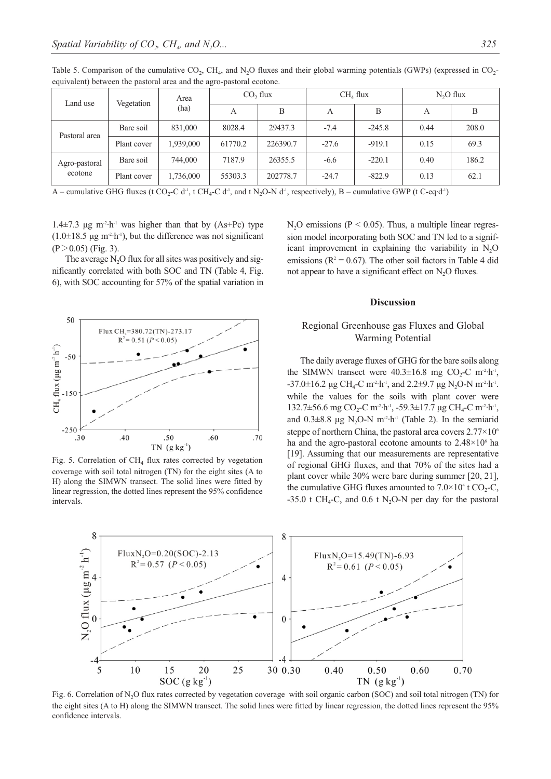| Land use                 | Vegetation              | Area                                              |         | CO <sub>2</sub> flux | CH <sub>4</sub> flux |                | $N2O$ flux       |       |
|--------------------------|-------------------------|---------------------------------------------------|---------|----------------------|----------------------|----------------|------------------|-------|
|                          |                         | (ha)                                              | A       | В                    | А                    | В              | A                | В     |
| Pastoral area            | Bare soil               | 831,000                                           | 8028.4  | 29437.3              | $-7.4$               | $-245.8$       | 0.44             | 208.0 |
|                          | Plant cover             | 1,939,000                                         | 61770.2 | 226390.7             | $-27.6$              | $-919.1$       | 0.15             | 69.3  |
| Agro-pastoral<br>ecotone | Bare soil               | 744,000                                           | 7187.9  | 26355.5              | $-6.6$               | $-220.1$       | 0.40             | 186.2 |
|                          | Plant cover             | 1,736,000                                         | 55303.3 | 202778.7             | $-24.7$              | $-822.9$       | 0.13             | 62.1  |
| $\cdots$<br>$\sim$       | $\cap$ TT $\cap$ $\cap$ | $\alpha$ and $\alpha$ ii $\alpha$ and $\alpha$ ii |         | 1.3703737            | $\cdots$ $\cdots$    | $\blacksquare$ | $\alpha$<br>1.15 |       |

Table 5. Comparison of the cumulative  $CO_2$ , CH<sub>4</sub>, and N<sub>2</sub>O fluxes and their global warming potentials (GWPs) (expressed in  $CO_2$ equivalent) between the pastoral area and the agro-pastoral ecotone.

A – cumulative GHG fluxes (t CO<sub>2</sub>-C d<sup>-1</sup>, t CH<sub>4</sub>-C d<sup>-1</sup>, and t N<sub>2</sub>O-N d<sup>-1</sup>, respectively), B – cumulative GWP (t C-eq·d<sup>-1</sup>)

1.4 $\pm$ 7.3 μg m<sup>-2</sup>·h<sup>-1</sup> was higher than that by (As+Pc) type (1.0±18.5 μg m<sup>-2</sup>·h<sup>-1</sup>), but the difference was not significant<br>(P > 0.05) (Fig. 3).

The average  $N<sub>2</sub>O$  flux for all sites was positively and significantly correlated with both SOC and TN (Table 4, Fig. 6), with SOC accounting for 57% of the spatial variation in



Fig. 5. Correlation of  $CH_4$  flux rates corrected by vegetation coverage with soil total nitrogen (TN) for the eight sites (A to H) along the SIMWN transect. The solid lines were fitted by linear regression, the dotted lines represent the 95% confidence intervals.

N<sub>2</sub>O emissions ( $P < 0.05$ ). Thus, a multiple linear regression model incorporating both SOC and TN led to a significant improvement in explaining the variability in  $N<sub>2</sub>O$ emissions ( $R^2 = 0.67$ ). The other soil factors in Table 4 did not appear to have a significant effect on  $N_2O$  fluxes.

## **Discussion**

# Regional Greenhouse gas Fluxes and Global Warming Potential

The daily average fluxes of GHG for the bare soils along the SIMWN transect were  $40.3 \pm 16.8$  mg CO<sub>2</sub>-C m<sup>-2</sup>·h<sup>-1</sup>,  $-37.0 \pm 16.2$  μg CH<sub>4</sub>-C m<sup>-2</sup>·h<sup>-1</sup>, and 2.2 $\pm$ 9.7 μg N<sub>2</sub>O-N m<sup>-2</sup>·h<sup>-1</sup>. while the values for the soils with plant cover were  $132.7\pm56.6$  mg CO<sub>2</sub>-C m<sup>-2</sup>·h<sup>-1</sup>, -59.3 $\pm17.7$  μg CH<sub>4</sub>-C m<sup>-2</sup>·h<sup>-1</sup>, and  $0.3\pm8.8$  µg N<sub>2</sub>O-N m<sup>-2</sup>·h<sup>-1</sup> (Table 2). In the semiarid steppe of northern China, the pastoral area covers 2.77×10<sup>6</sup> ha and the agro-pastoral ecotone amounts to  $2.48\times10^6$  ha [19]. Assuming that our measurements are representative of regional GHG fluxes, and that 70% of the sites had a plant cover while 30% were bare during summer [20, 21], the cumulative GHG fluxes amounted to  $7.0 \times 10^4$  t CO<sub>2</sub>-C, -35.0 t CH<sub>4</sub>-C, and 0.6 t N<sub>2</sub>O-N per day for the pastoral



Fig. 6. Correlation of N<sub>2</sub>O flux rates corrected by vegetation coverage with soil organic carbon (SOC) and soil total nitrogen (TN) for the eight sites (A to H) along the SIMWN transect. The solid lines were fitted by linear regression, the dotted lines represent the 95% confidence intervals.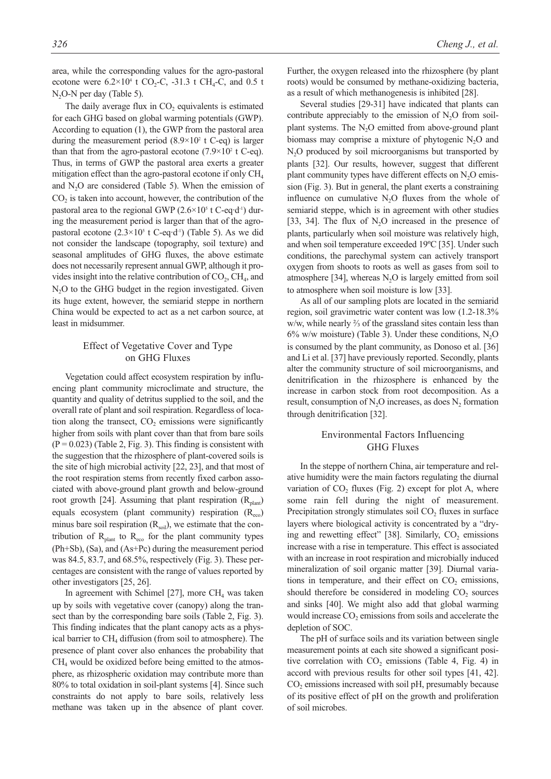area, while the corresponding values for the agro-pastoral ecotone were  $6.2 \times 10^4$  t CO<sub>2</sub>-C, -31.3 t CH<sub>4</sub>-C, and 0.5 t  $N<sub>2</sub>O-N$  per day (Table 5).

The daily average flux in  $CO<sub>2</sub>$  equivalents is estimated for each GHG based on global warming potentials (GWP). According to equation (1), the GWP from the pastoral area during the measurement period  $(8.9\times10^2 \text{ t C-eq})$  is larger than that from the agro-pastoral ecotone  $(7.9\times10^2$  t C-eq). Thus, in terms of GWP the pastoral area exerts a greater mitigation effect than the agro-pastoral ecotone if only CH<sub>4</sub> and  $N<sub>2</sub>O$  are considered (Table 5). When the emission of  $CO<sub>2</sub>$  is taken into account, however, the contribution of the pastoral area to the regional GWP  $(2.6 \times 10^5 \text{ t C-eq-d}^1)$  during the measurement period is larger than that of the agropastoral ecotone  $(2.3 \times 10^5 \text{ t C-eq-d}^1)$  (Table 5). As we did not consider the landscape (topography, soil texture) and seasonal amplitudes of GHG fluxes, the above estimate does not necessarily represent annual GWP, although it provides insight into the relative contribution of  $CO<sub>2</sub>$ ,  $CH<sub>4</sub>$ , and N<sub>2</sub>O to the GHG budget in the region investigated. Given its huge extent, however, the semiarid steppe in northern China would be expected to act as a net carbon source, at least in midsummer.

# Effect of Vegetative Cover and Type on GHG Fluxes

Vegetation could affect ecosystem respiration by influencing plant community microclimate and structure, the quantity and quality of detritus supplied to the soil, and the overall rate of plant and soil respiration. Regardless of location along the transect,  $CO<sub>2</sub>$  emissions were significantly higher from soils with plant cover than that from bare soils  $(P = 0.023)$  (Table 2, Fig. 3). This finding is consistent with the suggestion that the rhizosphere of plant-covered soils is the site of high microbial activity [22, 23], and that most of the root respiration stems from recently fixed carbon associated with above-ground plant growth and below-ground root growth [24]. Assuming that plant respiration  $(R<sub>plant</sub>)$ equals ecosystem (plant community) respiration  $(R_{\text{eco}})$ minus bare soil respiration  $(R_{\text{soil}})$ , we estimate that the contribution of  $R_{\text{plant}}$  to  $R_{\text{eco}}$  for the plant community types (Ph+Sb), (Sa), and (As+Pc) during the measurement period was 84.5, 83.7, and 68.5%, respectively (Fig. 3). These percentages are consistent with the range of values reported by other investigators [25, 26].

In agreement with Schimel [27], more  $CH<sub>4</sub>$  was taken up by soils with vegetative cover (canopy) along the transect than by the corresponding bare soils (Table 2, Fig. 3). This finding indicates that the plant canopy acts as a physical barrier to  $CH<sub>4</sub>$  diffusion (from soil to atmosphere). The presence of plant cover also enhances the probability that  $CH<sub>4</sub>$  would be oxidized before being emitted to the atmosphere, as rhizospheric oxidation may contribute more than 80% to total oxidation in soil-plant systems [4]. Since such constraints do not apply to bare soils, relatively less methane was taken up in the absence of plant cover. Further, the oxygen released into the rhizosphere (by plant roots) would be consumed by methane-oxidizing bacteria, as a result of which methanogenesis is inhibited [28].

Several studies [29-31] have indicated that plants can contribute appreciably to the emission of  $N_2O$  from soilplant systems. The  $N_2O$  emitted from above-ground plant biomass may comprise a mixture of phytogenic  $N_2O$  and N<sub>2</sub>O produced by soil microorganisms but transported by plants [32]. Our results, however, suggest that different plant community types have different effects on  $N_2O$  emission (Fig. 3). But in general, the plant exerts a constraining influence on cumulative  $N_2O$  fluxes from the whole of semiarid steppe, which is in agreement with other studies [33, 34]. The flux of  $N_2O$  increased in the presence of plants, particularly when soil moisture was relatively high, and when soil temperature exceeded 19ºC [35]. Under such conditions, the parechymal system can actively transport oxygen from shoots to roots as well as gases from soil to atmosphere [34], whereas  $N_2O$  is largely emitted from soil to atmosphere when soil moisture is low [33].

As all of our sampling plots are located in the semiarid region, soil gravimetric water content was low (1.2-18.3% w/w, while nearly ⅔ of the grassland sites contain less than  $6\%$  w/w moisture) (Table 3). Under these conditions, N<sub>2</sub>O is consumed by the plant community, as Donoso et al. [36] and Li et al. [37] have previously reported. Secondly, plants alter the community structure of soil microorganisms, and denitrification in the rhizosphere is enhanced by the increase in carbon stock from root decomposition. As a result, consumption of  $N_2O$  increases, as does  $N_2$  formation through denitrification [32].

# Environmental Factors Influencing GHG Fluxes

In the steppe of northern China, air temperature and relative humidity were the main factors regulating the diurnal variation of  $CO<sub>2</sub>$  fluxes (Fig. 2) except for plot A, where some rain fell during the night of measurement. Precipitation strongly stimulates soil  $CO<sub>2</sub>$  fluxes in surface layers where biological activity is concentrated by a "drying and rewetting effect" [38]. Similarly,  $CO<sub>2</sub>$  emissions increase with a rise in temperature. This effect is associated with an increase in root respiration and microbially induced mineralization of soil organic matter [39]. Diurnal variations in temperature, and their effect on  $CO<sub>2</sub>$  emissions, should therefore be considered in modeling  $CO<sub>2</sub>$  sources and sinks [40]. We might also add that global warming would increase CO<sub>2</sub> emissions from soils and accelerate the depletion of SOC.

The pH of surface soils and its variation between single measurement points at each site showed a significant positive correlation with  $CO<sub>2</sub>$  emissions (Table 4, Fig. 4) in accord with previous results for other soil types [41, 42]. CO<sub>2</sub> emissions increased with soil pH, presumably because of its positive effect of pH on the growth and proliferation of soil microbes.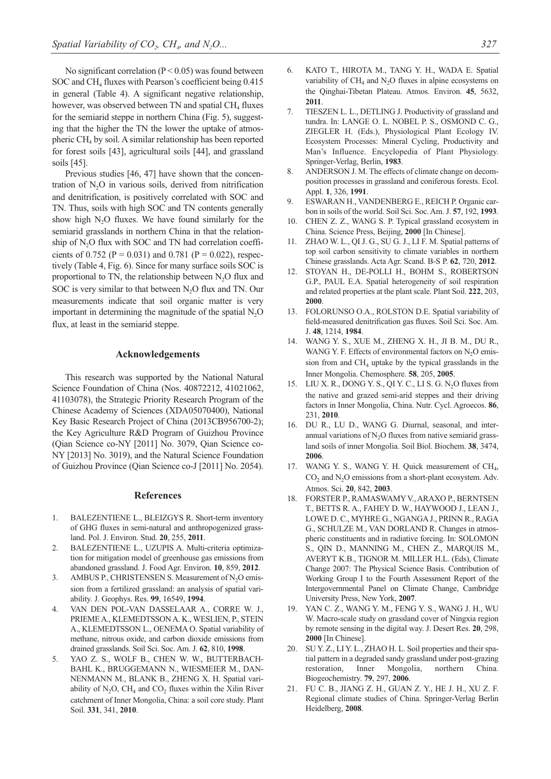No significant correlation ( $P < 0.05$ ) was found between SOC and CH<sub>4</sub> fluxes with Pearson's coefficient being 0.415 in general (Table 4). A significant negative relationship, however, was observed between TN and spatial  $CH<sub>4</sub>$  fluxes for the semiarid steppe in northern China (Fig. 5), suggesting that the higher the TN the lower the uptake of atmospheric  $CH<sub>4</sub>$  by soil. A similar relationship has been reported for forest soils [43], agricultural soils [44], and grassland soils [45].

Previous studies [46, 47] have shown that the concentration of  $N_2O$  in various soils, derived from nitrification and denitrification, is positively correlated with SOC and TN. Thus, soils with high SOC and TN contents generally show high  $N<sub>2</sub>O$  fluxes. We have found similarly for the semiarid grasslands in northern China in that the relationship of  $N<sub>2</sub>O$  flux with SOC and TN had correlation coefficients of 0.752 ( $P = 0.031$ ) and 0.781 ( $P = 0.022$ ), respectively (Table 4, Fig. 6). Since for many surface soils SOC is proportional to TN, the relationship between  $N_2O$  flux and SOC is very similar to that between  $N<sub>2</sub>O$  flux and TN. Our measurements indicate that soil organic matter is very important in determining the magnitude of the spatial  $N_2O$ flux, at least in the semiarid steppe.

#### **Acknowledgements**

This research was supported by the National Natural Science Foundation of China (Nos. 40872212, 41021062, 41103078), the Strategic Priority Research Program of the Chinese Academy of Sciences (XDA05070400), National Key Basic Research Project of China (2013CB956700-2); the Key Agriculture R&D Program of Guizhou Province (Qian Science co-NY [2011] No. 3079, Qian Science co-NY [2013] No. 3019), and the Natural Science Foundation of Guizhou Province (Qian Science co-J [2011] No. 2054).

#### **References**

- 1. BALEZENTIENE L., BLEIZGYS R. Short-term inventory of GHG fluxes in semi-natural and anthropogenized grassland. Pol. J. Environ. Stud. **20**, 255, **2011**.
- 2. BALEZENTIENE L., UZUPIS A. Multi-criteria optimization for mitigation model of greenhouse gas emissions from abandoned grassland. J. Food Agr. Environ. **10**, 859, **2012**.
- 3. AMBUS P., CHRISTENSEN S. Measurement of  $N_2O$  emission from a fertilized grassland: an analysis of spatial variability. J. Geophys. Res. **99**, 16549, **1994**.
- 4. VAN DEN POL-VAN DASSELAAR A., CORRE W. J., PRIEME A., KLEMEDTSSON A. K., WESLIEN, P., STEIN A., KLEMEDTSSON L., OENEMA O. Spatial variability of methane, nitrous oxide, and carbon dioxide emissions from drained grasslands. Soil Sci. Soc. Am. J. **62**, 810, **1998**.
- YAO Z. S., WOLF B., CHEN W. W., BUTTERBACH-BAHL K., BRUGGEMANN N., WIESMEIER M., DAN-NENMANN M., BLANK B., ZHENG X. H. Spatial variability of  $N_2O$ , CH<sub>4</sub> and CO<sub>2</sub> fluxes within the Xilin River catchment of Inner Mongolia, China: a soil core study. Plant Soil. **331**, 341, **2010**.
- 6. KATO T., HIROTA M., TANG Y. H., WADA E. Spatial variability of  $CH_4$  and  $N_2O$  fluxes in alpine ecosystems on the Qinghai-Tibetan Plateau. Atmos. Environ. **45**, 5632, **2011**.
- 7. TIESZEN L. L., DETLING J. Productivity of grassland and tundra. In: LANGE O. L. NOBEL P. S., OSMOND C. G., ZIEGLER H. (Eds.), Physiological Plant Ecology IV. Ecosystem Processes: Mineral Cycling, Productivity and Man's Influence. Encyclopedia of Plant Physiology. Springer-Verlag, Berlin, **1983**.
- 8. ANDERSON J. M. The effects of climate change on decomposition processes in grassland and coniferous forests. Ecol. Appl. **1**, 326, **1991**.
- 9. ESWARAN H., VANDENBERG E., REICH P. Organic carbon in soils of the world. Soil Sci. Soc. Am. J. **57**, 192, **1993**.
- 10. CHEN Z. Z., WANG S. P. Typical grassland ecosystem in China. Science Press, Beijing, **2000** [In Chinese].
- 11. ZHAO W. L., QI J. G., SU G. J., LI F. M. Spatial patterns of top soil carbon sensitivity to climate variables in northern Chinese grasslands. Acta Agr. Scand. B-S P. **62**, 720, **2012**.
- 12. STOYAN H., DE-POLLI H., BOHM S., ROBERTSON G.P., PAUL E.A. Spatial heterogeneity of soil respiration and related properties at the plant scale. Plant Soil. **222**, 203, **2000**.
- 13. FOLORUNSO O.A., ROLSTON D.E. Spatial variability of field-measured denitrification gas fluxes. Soil Sci. Soc. Am. J. **48**, 1214, **1984**.
- 14. WANG Y. S., XUE M., ZHENG X. H., JI B. M., DU R., WANG Y. F. Effects of environmental factors on  $N_2O$  emission from and  $CH<sub>4</sub>$  uptake by the typical grasslands in the Inner Mongolia. Chemosphere. **58**, 205, **2005**.
- 15. LIU X. R., DONG Y. S., QI Y. C., LI S. G. N<sub>2</sub>O fluxes from the native and grazed semi-arid steppes and their driving factors in Inner Mongolia, China. Nutr. Cycl. Agroecos. **86**, 231, **2010**.
- 16. DU R., LU D., WANG G. Diurnal, seasonal, and interannual variations of  $N<sub>2</sub>O$  fluxes from native semiarid grassland soils of inner Mongolia. Soil Biol. Biochem. **38**, 3474, **2006**.
- 17. WANG Y. S., WANG Y. H. Quick measurement of CH<sub>4</sub>,  $CO<sub>2</sub>$  and N<sub>2</sub>O emissions from a short-plant ecosystem. Adv. Atmos. Sci. **20**, 842, **2003**.
- 18. FORSTER P., RAMASWAMY V., ARAXO P., BERNTSEN T., BETTS R. A., FAHEY D. W., HAYWOOD J., LEAN J., LOWE D. C., MYHRE G., NGANGA J., PRINN R., RAGA G., SCHULZE M., VAN DORLAND R. Changes in atmospheric constituents and in radiative forcing. In: SOLOMON S., QIN D., MANNING M., CHEN Z., MARQUIS M., AVERYT K.B., TIGNOR M. MILLER H.L. (Eds), Climate Change 2007: The Physical Science Basis. Contribution of Working Group I to the Fourth Assessment Report of the Intergovernmental Panel on Climate Change, Cambridge University Press, New York, **2007**.
- 19. YAN C. Z., WANG Y. M., FENG Y. S., WANG J. H., WU W. Macro-scale study on grassland cover of Ningxia region by remote sensing in the digital way. J. Desert Res. **20**, 298, **2000** [In Chinese].
- 20. SU Y. Z., LI Y. L., ZHAO H. L. Soil properties and their spatial pattern in a degraded sandy grassland under post-grazing restoration, Inner Mongolia, northern China. Biogeochemistry. **79**, 297, **2006**.
- 21. FU C. B., JIANG Z. H., GUAN Z. Y., HE J. H., XU Z. F. Regional climate studies of China. Springer-Verlag Berlin Heidelberg, **2008**.